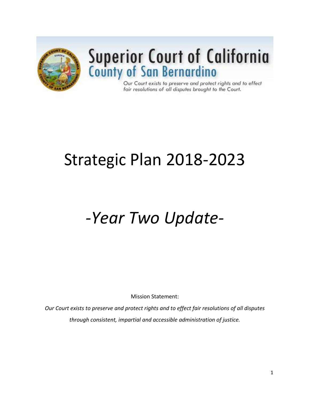

# **Superior Court of California**<br>County of San Bernardino

Our Court exists to preserve and protect rights and to effect fair resolutions of all disputes brought to the Court.

# Strategic Plan 2018-2023

# *-Year Two Update-*

Mission Statement:

*Our Court exists to preserve and protect rights and to effect fair resolutions of all disputes through consistent, impartial and accessible administration of justice.*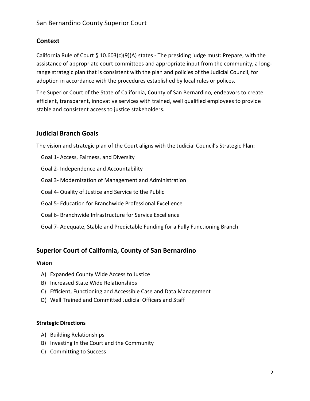# **Context**

California Rule of Court § 10.603(c)(9)(A) states - The presiding judge must: Prepare, with the assistance of appropriate court committees and appropriate input from the community, a longrange strategic plan that is consistent with the plan and policies of the Judicial Council, for adoption in accordance with the procedures established by local rules or polices.

The Superior Court of the State of California, County of San Bernardino, endeavors to create efficient, transparent, innovative services with trained, well qualified employees to provide stable and consistent access to justice stakeholders.

# **Judicial Branch Goals**

The vision and strategic plan of the Court aligns with the Judicial Council's Strategic Plan:

- Goal 1- Access, Fairness, and Diversity
- Goal 2- Independence and Accountability
- Goal 3- Modernization of Management and Administration
- Goal 4- Quality of Justice and Service to the Public
- Goal 5- Education for Branchwide Professional Excellence
- Goal 6- Branchwide Infrastructure for Service Excellence
- Goal 7- Adequate, Stable and Predictable Funding for a Fully Functioning Branch

## **Superior Court of California, County of San Bernardino**

#### **Vision**

- A) Expanded County Wide Access to Justice
- B) Increased State Wide Relationships
- C) Efficient, Functioning and Accessible Case and Data Management
- D) Well Trained and Committed Judicial Officers and Staff

#### **Strategic Directions**

- A) Building Relationships
- B) Investing In the Court and the Community
- C) Committing to Success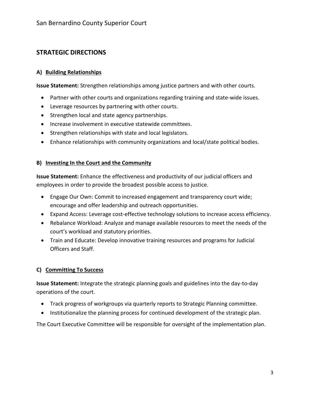# **STRATEGIC DIRECTIONS**

#### **A) Building Relationships**

**Issue Statement:** Strengthen relationships among justice partners and with other courts.

- Partner with other courts and organizations regarding training and state-wide issues.
- Leverage resources by partnering with other courts.
- Strengthen local and state agency partnerships.
- Increase involvement in executive statewide committees.
- Strengthen relationships with state and local legislators.
- Enhance relationships with community organizations and local/state political bodies.

#### **B) Investing In the Court and the Community**

**Issue Statement:** Enhance the effectiveness and productivity of our judicial officers and employees in order to provide the broadest possible access to justice.

- Engage Our Own: Commit to increased engagement and transparency court wide; encourage and offer leadership and outreach opportunities.
- Expand Access: Leverage cost-effective technology solutions to increase access efficiency.
- Rebalance Workload: Analyze and manage available resources to meet the needs of the court's workload and statutory priorities.
- Train and Educate: Develop innovative training resources and programs for Judicial Officers and Staff.

## **C) Committing To Success**

**Issue Statement:** Integrate the strategic planning goals and guidelines into the day-to-day operations of the court.

- Track progress of workgroups via quarterly reports to Strategic Planning committee.
- Institutionalize the planning process for continued development of the strategic plan.

The Court Executive Committee will be responsible for oversight of the implementation plan.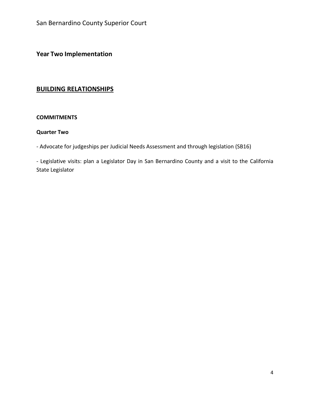**Year Two Implementation**

# **BUILDING RELATIONSHIPS**

#### **COMMITMENTS**

#### **Quarter Two**

- Advocate for judgeships per Judicial Needs Assessment and through legislation (SB16)

- Legislative visits: plan a Legislator Day in San Bernardino County and a visit to the California State Legislator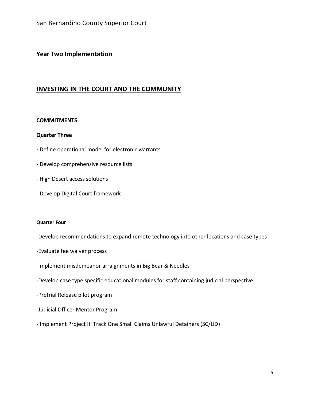### **Year Two Implementation**

#### **INVESTING IN THE COURT AND THE COMMUNITY**

#### **COMMITMENTS**

#### **Quarter Three**

- **-** Define operational model for electronic warrants
- Develop comprehensive resource lists
- High Desert access solutions
- Develop Digital Court framework

#### **Quarter Four**

- -Develop recommendations to expand remote technology into other locations and case types
- -Evaluate fee waiver process
- -Implement misdemeanor arraignments in Big Bear & Needles
- -Develop case type specific educational modules for staff containing judicial perspective
- -Pretrial Release pilot program
- -Judicial Officer Mentor Program
- Implement Project II: Track One Small Claims Unlawful Detainers (SC/UD)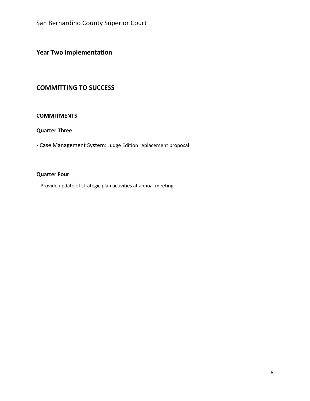**Year Two Implementation**

# **COMMITTING TO SUCCESS**

#### **COMMITMENTS**

#### **Quarter Three**

- Case Management System: Judge Edition replacement proposal

#### **Quarter Four**

- Provide update of strategic plan activities at annual meeting